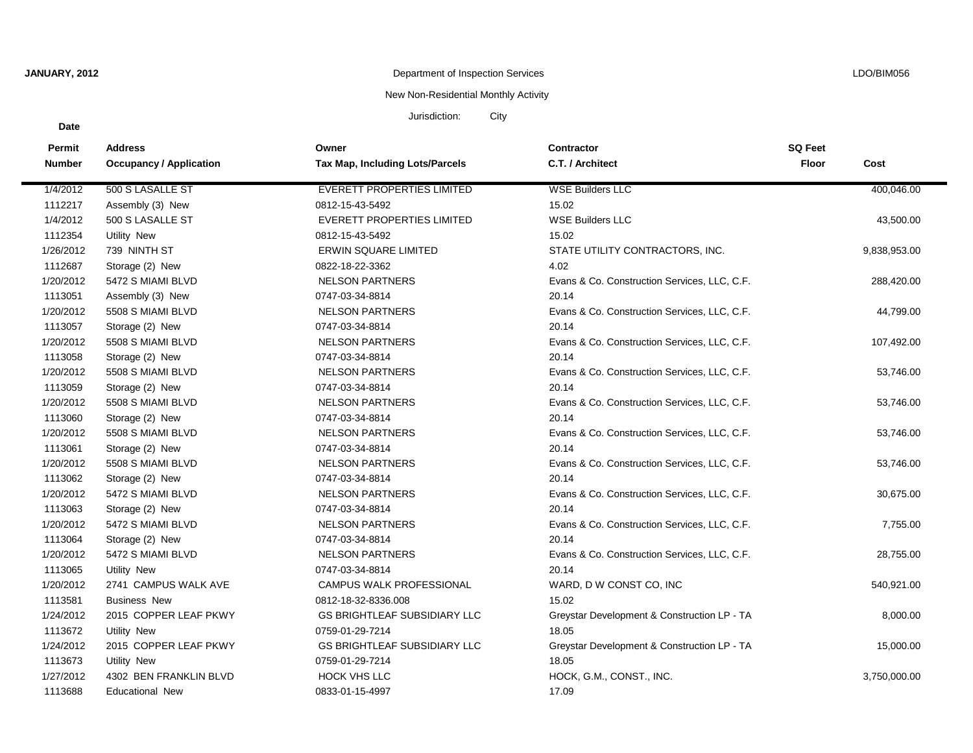**Date**

# **JANUARY, 2012** LDO/BIM056

## New Non-Residential Monthly Activity

Jurisdiction: City

| Permit        | <b>Address</b>                 | Owner                                  | Contractor                                   | <b>SQ Feet</b> |              |
|---------------|--------------------------------|----------------------------------------|----------------------------------------------|----------------|--------------|
| <b>Number</b> | <b>Occupancy / Application</b> | <b>Tax Map, Including Lots/Parcels</b> | C.T. / Architect                             | Floor          | Cost         |
| 1/4/2012      | 500 S LASALLE ST               | <b>EVERETT PROPERTIES LIMITED</b>      | <b>WSE Builders LLC</b>                      |                | 400,046.00   |
| 1112217       | Assembly (3) New               | 0812-15-43-5492                        | 15.02                                        |                |              |
| 1/4/2012      | 500 S LASALLE ST               | EVERETT PROPERTIES LIMITED             | <b>WSE Builders LLC</b>                      |                | 43,500.00    |
| 1112354       | Utility New                    | 0812-15-43-5492                        | 15.02                                        |                |              |
| 1/26/2012     | 739 NINTH ST                   | <b>ERWIN SQUARE LIMITED</b>            | STATE UTILITY CONTRACTORS, INC.              |                | 9,838,953.00 |
| 1112687       | Storage (2) New                | 0822-18-22-3362                        | 4.02                                         |                |              |
| 1/20/2012     | 5472 S MIAMI BLVD              | <b>NELSON PARTNERS</b>                 | Evans & Co. Construction Services, LLC, C.F. |                | 288,420.00   |
| 1113051       | Assembly (3) New               | 0747-03-34-8814                        | 20.14                                        |                |              |
| 1/20/2012     | 5508 S MIAMI BLVD              | <b>NELSON PARTNERS</b>                 | Evans & Co. Construction Services, LLC, C.F. |                | 44,799.00    |
| 1113057       | Storage (2) New                | 0747-03-34-8814                        | 20.14                                        |                |              |
| 1/20/2012     | 5508 S MIAMI BLVD              | <b>NELSON PARTNERS</b>                 | Evans & Co. Construction Services, LLC, C.F. |                | 107,492.00   |
| 1113058       | Storage (2) New                | 0747-03-34-8814                        | 20.14                                        |                |              |
| 1/20/2012     | 5508 S MIAMI BLVD              | <b>NELSON PARTNERS</b>                 | Evans & Co. Construction Services, LLC, C.F. |                | 53,746.00    |
| 1113059       | Storage (2) New                | 0747-03-34-8814                        | 20.14                                        |                |              |
| 1/20/2012     | 5508 S MIAMI BLVD              | <b>NELSON PARTNERS</b>                 | Evans & Co. Construction Services, LLC, C.F. |                | 53,746.00    |
| 1113060       | Storage (2) New                | 0747-03-34-8814                        | 20.14                                        |                |              |
| 1/20/2012     | 5508 S MIAMI BLVD              | <b>NELSON PARTNERS</b>                 | Evans & Co. Construction Services, LLC, C.F. |                | 53,746.00    |
| 1113061       | Storage (2) New                | 0747-03-34-8814                        | 20.14                                        |                |              |
| 1/20/2012     | 5508 S MIAMI BLVD              | <b>NELSON PARTNERS</b>                 | Evans & Co. Construction Services, LLC, C.F. |                | 53,746.00    |
| 1113062       | Storage (2) New                | 0747-03-34-8814                        | 20.14                                        |                |              |
| 1/20/2012     | 5472 S MIAMI BLVD              | <b>NELSON PARTNERS</b>                 | Evans & Co. Construction Services, LLC, C.F. |                | 30,675.00    |
| 1113063       | Storage (2) New                | 0747-03-34-8814                        | 20.14                                        |                |              |
| 1/20/2012     | 5472 S MIAMI BLVD              | <b>NELSON PARTNERS</b>                 | Evans & Co. Construction Services, LLC, C.F. |                | 7,755.00     |
| 1113064       | Storage (2) New                | 0747-03-34-8814                        | 20.14                                        |                |              |
| 1/20/2012     | 5472 S MIAMI BLVD              | <b>NELSON PARTNERS</b>                 | Evans & Co. Construction Services, LLC, C.F. |                | 28,755.00    |
| 1113065       | Utility New                    | 0747-03-34-8814                        | 20.14                                        |                |              |
| 1/20/2012     | 2741 CAMPUS WALK AVE           | CAMPUS WALK PROFESSIONAL               | WARD, D W CONST CO, INC                      |                | 540,921.00   |
| 1113581       | <b>Business New</b>            | 0812-18-32-8336.008                    | 15.02                                        |                |              |
| 1/24/2012     | 2015 COPPER LEAF PKWY          | <b>GS BRIGHTLEAF SUBSIDIARY LLC</b>    | Greystar Development & Construction LP - TA  |                | 8,000.00     |
| 1113672       | <b>Utility New</b>             | 0759-01-29-7214                        | 18.05                                        |                |              |
| 1/24/2012     | 2015 COPPER LEAF PKWY          | <b>GS BRIGHTLEAF SUBSIDIARY LLC</b>    | Greystar Development & Construction LP - TA  |                | 15,000.00    |
| 1113673       | <b>Utility New</b>             | 0759-01-29-7214                        | 18.05                                        |                |              |
| 1/27/2012     | 4302 BEN FRANKLIN BLVD         | <b>HOCK VHS LLC</b>                    | HOCK, G.M., CONST., INC.                     |                | 3,750,000.00 |
| 1113688       | <b>Educational New</b>         | 0833-01-15-4997                        | 17.09                                        |                |              |